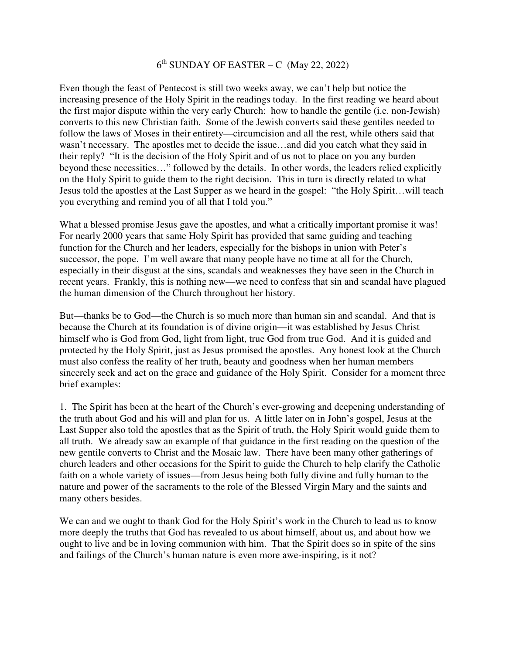## 6 th SUNDAY OF EASTER – C (May 22, 2022)

Even though the feast of Pentecost is still two weeks away, we can't help but notice the increasing presence of the Holy Spirit in the readings today. In the first reading we heard about the first major dispute within the very early Church: how to handle the gentile (i.e. non-Jewish) converts to this new Christian faith. Some of the Jewish converts said these gentiles needed to follow the laws of Moses in their entirety—circumcision and all the rest, while others said that wasn't necessary. The apostles met to decide the issue…and did you catch what they said in their reply? "It is the decision of the Holy Spirit and of us not to place on you any burden beyond these necessities…" followed by the details. In other words, the leaders relied explicitly on the Holy Spirit to guide them to the right decision. This in turn is directly related to what Jesus told the apostles at the Last Supper as we heard in the gospel: "the Holy Spirit…will teach you everything and remind you of all that I told you."

What a blessed promise Jesus gave the apostles, and what a critically important promise it was! For nearly 2000 years that same Holy Spirit has provided that same guiding and teaching function for the Church and her leaders, especially for the bishops in union with Peter's successor, the pope. I'm well aware that many people have no time at all for the Church, especially in their disgust at the sins, scandals and weaknesses they have seen in the Church in recent years. Frankly, this is nothing new—we need to confess that sin and scandal have plagued the human dimension of the Church throughout her history.

But—thanks be to God—the Church is so much more than human sin and scandal. And that is because the Church at its foundation is of divine origin—it was established by Jesus Christ himself who is God from God, light from light, true God from true God. And it is guided and protected by the Holy Spirit, just as Jesus promised the apostles. Any honest look at the Church must also confess the reality of her truth, beauty and goodness when her human members sincerely seek and act on the grace and guidance of the Holy Spirit. Consider for a moment three brief examples:

1. The Spirit has been at the heart of the Church's ever-growing and deepening understanding of the truth about God and his will and plan for us. A little later on in John's gospel, Jesus at the Last Supper also told the apostles that as the Spirit of truth, the Holy Spirit would guide them to all truth. We already saw an example of that guidance in the first reading on the question of the new gentile converts to Christ and the Mosaic law. There have been many other gatherings of church leaders and other occasions for the Spirit to guide the Church to help clarify the Catholic faith on a whole variety of issues—from Jesus being both fully divine and fully human to the nature and power of the sacraments to the role of the Blessed Virgin Mary and the saints and many others besides.

We can and we ought to thank God for the Holy Spirit's work in the Church to lead us to know more deeply the truths that God has revealed to us about himself, about us, and about how we ought to live and be in loving communion with him. That the Spirit does so in spite of the sins and failings of the Church's human nature is even more awe-inspiring, is it not?